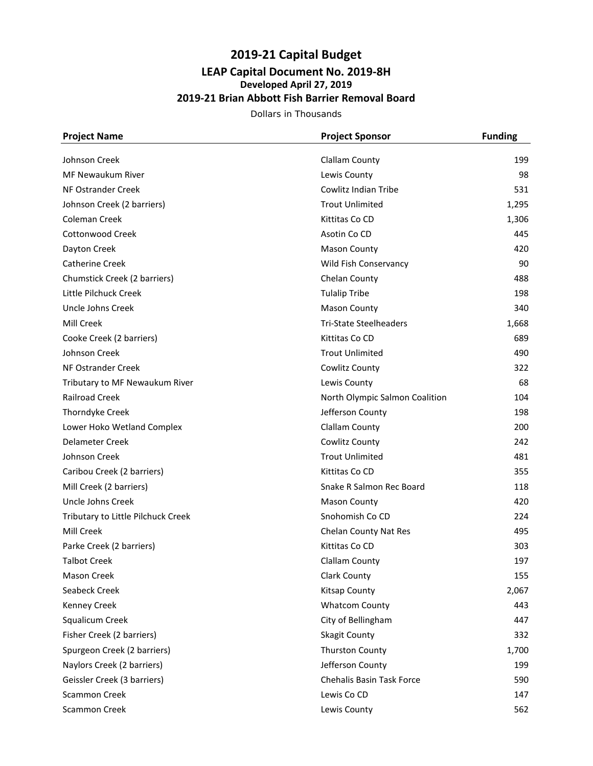## **2019-21 Capital Budget LEAP Capital Document No. 2019-8H Developed April 27, 2019 2019-21 Brian Abbott Fish Barrier Removal Board**

Dollars in Thousands

| <b>Project Name</b>                | <b>Project Sponsor</b>         | <b>Funding</b> |
|------------------------------------|--------------------------------|----------------|
| Johnson Creek                      | <b>Clallam County</b>          | 199            |
| <b>MF Newaukum River</b>           | Lewis County                   | 98             |
| NF Ostrander Creek                 | Cowlitz Indian Tribe           | 531            |
| Johnson Creek (2 barriers)         | <b>Trout Unlimited</b>         | 1,295          |
| <b>Coleman Creek</b>               | Kittitas Co CD                 | 1,306          |
| Cottonwood Creek                   | Asotin Co CD                   | 445            |
| Dayton Creek                       | <b>Mason County</b>            | 420            |
| <b>Catherine Creek</b>             | Wild Fish Conservancy          | 90             |
| Chumstick Creek (2 barriers)       | Chelan County                  | 488            |
| Little Pilchuck Creek              | <b>Tulalip Tribe</b>           | 198            |
| Uncle Johns Creek                  | <b>Mason County</b>            | 340            |
| Mill Creek                         | <b>Tri-State Steelheaders</b>  | 1,668          |
| Cooke Creek (2 barriers)           | Kittitas Co CD                 | 689            |
| Johnson Creek                      | <b>Trout Unlimited</b>         | 490            |
| NF Ostrander Creek                 | Cowlitz County                 | 322            |
| Tributary to MF Newaukum River     | Lewis County                   | 68             |
| <b>Railroad Creek</b>              | North Olympic Salmon Coalition | 104            |
| <b>Thorndyke Creek</b>             | Jefferson County               | 198            |
| Lower Hoko Wetland Complex         | Clallam County                 | 200            |
| Delameter Creek                    | Cowlitz County                 | 242            |
| Johnson Creek                      | <b>Trout Unlimited</b>         | 481            |
| Caribou Creek (2 barriers)         | Kittitas Co CD                 | 355            |
| Mill Creek (2 barriers)            | Snake R Salmon Rec Board       | 118            |
| Uncle Johns Creek                  | <b>Mason County</b>            | 420            |
| Tributary to Little Pilchuck Creek | Snohomish Co CD                | 224            |
| Mill Creek                         | Chelan County Nat Res          | 495            |
| Parke Creek (2 barriers)           | Kittitas Co CD                 | 303            |
| <b>Talbot Creek</b>                | Clallam County                 | 197            |
| <b>Mason Creek</b>                 | Clark County                   | 155            |
| Seabeck Creek                      | <b>Kitsap County</b>           | 2,067          |
| <b>Kenney Creek</b>                | <b>Whatcom County</b>          | 443            |
| Squalicum Creek                    | City of Bellingham             | 447            |
| Fisher Creek (2 barriers)          | Skagit County                  | 332            |
| Spurgeon Creek (2 barriers)        | <b>Thurston County</b>         | 1,700          |
| Naylors Creek (2 barriers)         | Jefferson County               | 199            |
| Geissler Creek (3 barriers)        | Chehalis Basin Task Force      | 590            |
| <b>Scammon Creek</b>               | Lewis Co CD                    | 147            |
| Scammon Creek                      | Lewis County                   | 562            |